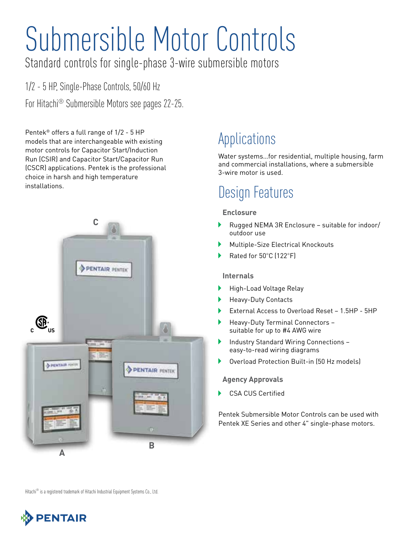# Submersible Motor Controls

Standard controls for single-phase 3-wire submersible motors

1/2 - 5 HP, Single-Phase Controls, 50/60 Hz For Hitachi® Submersible Motors see pages 22-25.

Pentek® offers a full range of 1/2 - 5 HP models that are interchangeable with existing motor controls for Capacitor Start/Induction Run (CSIR) and Capacitor Start/Capacitor Run (CSCR) applications. Pentek is the professional choice in harsh and high temperature installations.



### Applications

Water systems…for residential, multiple housing, farm and commercial installations, where a submersible 3-wire motor is used.

## Design Features

#### **Enclosure**

- Rugged NEMA 3R Enclosure suitable for indoor/ outdoor use
- Multiple-Size Electrical Knockouts
- Rated for 50°C (122°F)

#### **Internals**

- Þ High-Load Voltage Relay
- Heavy-Duty Contacts
- Þ External Access to Overload Reset – 1.5HP - 5HP
- Heavy-Duty Terminal Connectors suitable for up to #4 AWG wire
- Industry Standard Wiring Connections easy-to-read wiring diagrams
- Overload Protection Built-in (50 Hz models)

#### **Agency Approvals**

CSA CUS Certified

Pentek Submersible Motor Controls can be used with Pentek XE Series and other 4" single-phase motors.

Hitachi<sup>®</sup> is a registered trademark of Hitachi Industrial Equipment Systems Co., Ltd.